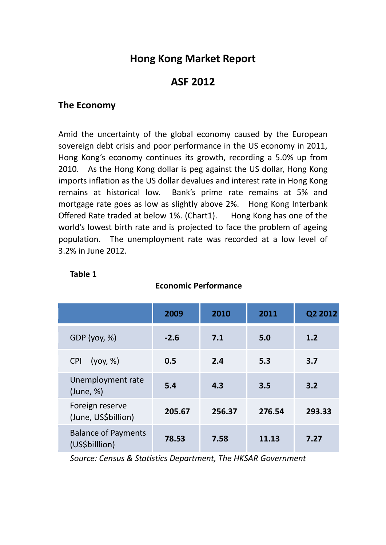# **Hong Kong Market Report**

# **ASF 2012**

# **The Economy**

Amid the uncertainty of the global economy caused by the European sovereign debt crisis and poor performance in the US economy in 2011, Hong Kong's economy continues its growth, recording a 5.0% up from 2010. As the Hong Kong dollar is peg against the US dollar, Hong Kong imports inflation as the US dollar devalues and interest rate in Hong Kong remains at historical low. Bank's prime rate remains at 5% and mortgage rate goes as low as slightly above 2%. Hong Kong Interbank Offered Rate traded at below 1%. (Chart1). Hong Kong has one of the world's lowest birth rate and is projected to face the problem of ageing population. The unemployment rate was recorded at a low level of 3.2% in June 2012.

|                                              | 2009   | 2010   | 2011   | Q2 2012 |
|----------------------------------------------|--------|--------|--------|---------|
| GDP $(yoy, %)$                               | $-2.6$ | 7.1    | 5.0    | 1.2     |
| (yoy, %)<br><b>CPI</b>                       | 0.5    | 2.4    | 5.3    | 3.7     |
| Unemployment rate<br>(June, %)               | 5.4    | 4.3    | 3.5    | 3.2     |
| Foreign reserve<br>(June, US\$billion)       | 205.67 | 256.37 | 276.54 | 293.33  |
| <b>Balance of Payments</b><br>(US\$billlion) | 78.53  | 7.58   | 11.13  | 7.27    |

**Table 1**

## **Economic Performance**

*Source: Census & Statistics Department, The HKSAR Government*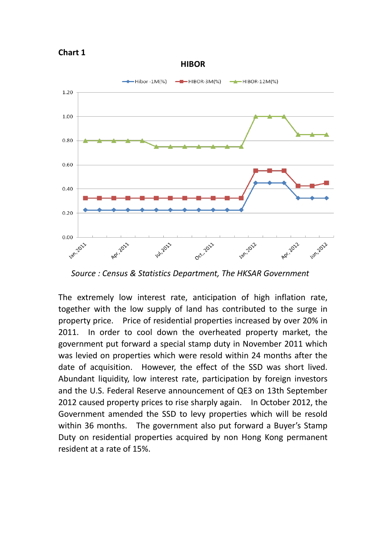**Chart 1**



*Source : Census & Statistics Department, The HKSAR Government*

The extremely low interest rate, anticipation of high inflation rate, together with the low supply of land has contributed to the surge in property price. Price of residential properties increased by over 20% in 2011. In order to cool down the overheated property market, the government put forward a special stamp duty in November 2011 which was levied on properties which were resold within 24 months after the date of acquisition. However, the effect of the SSD was short lived. Abundant liquidity, low interest rate, participation by foreign investors and the U.S. Federal Reserve announcement of QE3 on 13th September 2012 caused property prices to rise sharply again. In October 2012, the Government amended the SSD to levy properties which will be resold within 36 months. The government also put forward a Buyer's Stamp Duty on residential properties acquired by non Hong Kong permanent resident at a rate of 15%.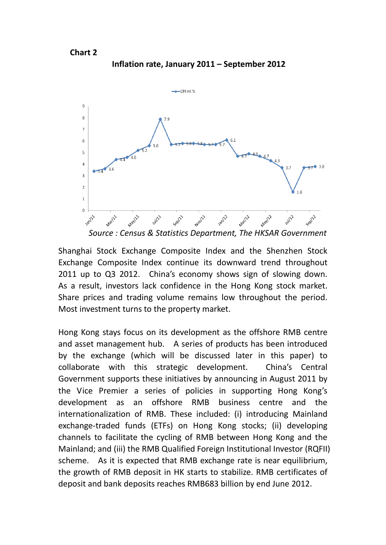



**Inflation rate, January 2011 – September 2012**



Shanghai Stock Exchange Composite Index and the Shenzhen Stock Exchange Composite Index continue its downward trend throughout 2011 up to Q3 2012. China's economy shows sign of slowing down. As a result, investors lack confidence in the Hong Kong stock market. Share prices and trading volume remains low throughout the period. Most investment turns to the property market.

Hong Kong stays focus on its development as the offshore RMB centre and asset management hub. A series of products has been introduced by the exchange (which will be discussed later in this paper) to collaborate with this strategic development. China's Central Government supports these initiatives by announcing in August 2011 by the Vice Premier a series of policies in supporting Hong Kong's development as an offshore RMB business centre and the internationalization of RMB. These included: (i) introducing Mainland exchange-traded funds (ETFs) on Hong Kong stocks; (ii) developing channels to facilitate the cycling of RMB between Hong Kong and the Mainland; and (iii) the RMB Qualified Foreign Institutional Investor (RQFII) scheme. As it is expected that RMB exchange rate is near equilibrium, the growth of RMB deposit in HK starts to stabilize. RMB certificates of deposit and bank deposits reaches RMB683 billion by end June 2012.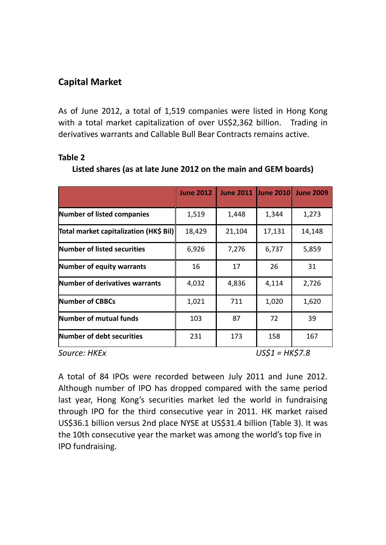# **Capital Market**

As of June 2012, a total of 1,519 companies were listed in Hong Kong with a total market capitalization of over US\$2,362 billion. Trading in derivatives warrants and Callable Bull Bear Contracts remains active.

### **Table 2**

| <b>June 2012</b> |                                        |        | <b>June 2009</b>    |
|------------------|----------------------------------------|--------|---------------------|
| 1,519            | 1,448                                  | 1,344  | 1,273               |
| 18,429           | 21,104                                 | 17,131 | 14,148              |
| 6,926            | 7,276                                  | 6,737  | 5,859               |
| 16               | 17                                     | 26     | 31                  |
| 4,032            | 4,836                                  | 4,114  | 2,726               |
| 1,021            | 711                                    | 1,020  | 1,620               |
| 103              | 87                                     | 72     | 39                  |
| 231              | 173                                    | 158    | 167                 |
|                  | Total market capitalization (HK\$ Bil) |        | June 2011 June 2010 |

## **Listed shares (as at late June 2012 on the main and GEM boards)**

*Source: HKEx US\$1 = HK\$7.8*

A total of 84 IPOs were recorded between July 2011 and June 2012. Although number of IPO has dropped compared with the same period last year, Hong Kong's securities market led the world in fundraising through IPO for the third consecutive year in 2011. HK market raised US\$36.1 billion versus 2nd place NYSE at US\$31.4 billion (Table 3). It was the 10th consecutive year the market was among the world's top five in IPO fundraising.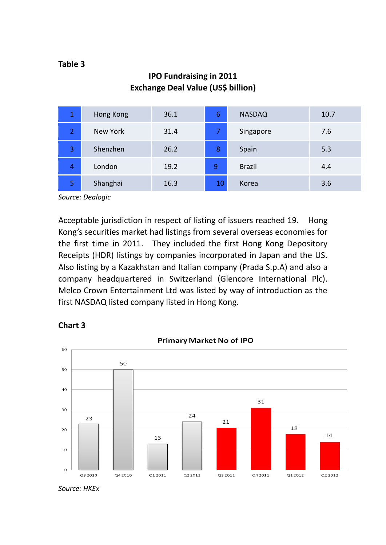## **Table 3**

|   | Hong Kong       | 36.1 | 6  | <b>NASDAQ</b> | 10.7 |
|---|-----------------|------|----|---------------|------|
| 2 | <b>New York</b> | 31.4 |    | Singapore     | 7.6  |
| 3 | Shenzhen        | 26.2 | 8  | Spain         | 5.3  |
| 4 | London          | 19.2 | 9  | <b>Brazil</b> | 4.4  |
| 5 | Shanghai        | 16.3 | 10 | Korea         | 3.6  |

# **IPO Fundraising in 2011 Exchange Deal Value (US\$ billion)**

*Source: Dealogic*

Acceptable jurisdiction in respect of listing of issuers reached 19. Hong Kong's securities market had listings from several overseas economies for the first time in 2011. They included the first Hong Kong Depository Receipts (HDR) listings by companies incorporated in Japan and the US. Also listing by a Kazakhstan and Italian company (Prada S.p.A) and also a company headquartered in Switzerland (Glencore International Plc). Melco Crown Entertainment Ltd was listed by way of introduction as the first NASDAQ listed company listed in Hong Kong.

### **Chart 3**



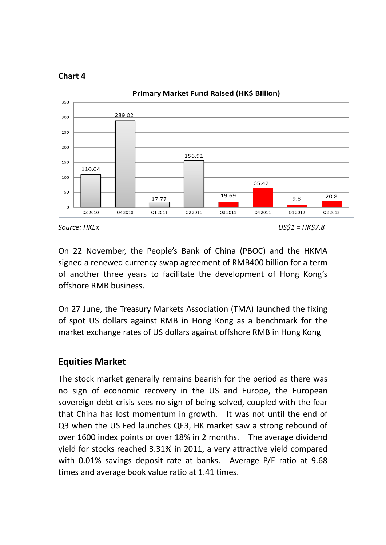



*Source: HKEx US\$1 = HK\$7.8*

On 22 November, the People's Bank of China (PBOC) and the HKMA signed a renewed currency swap agreement of RMB400 billion for a term of another three years to facilitate the development of Hong Kong's offshore RMB business.

On 27 June, the Treasury Markets Association (TMA) launched the fixing of spot US dollars against RMB in Hong Kong as a benchmark for the market exchange rates of US dollars against offshore RMB in Hong Kong

# **Equities Market**

The stock market generally remains bearish for the period as there was no sign of economic recovery in the US and Europe, the European sovereign debt crisis sees no sign of being solved, coupled with the fear that China has lost momentum in growth. It was not until the end of Q3 when the US Fed launches QE3, HK market saw a strong rebound of over 1600 index points or over 18% in 2 months. The average dividend yield for stocks reached 3.31% in 2011, a very attractive yield compared with 0.01% savings deposit rate at banks. Average P/E ratio at 9.68 times and average book value ratio at 1.41 times.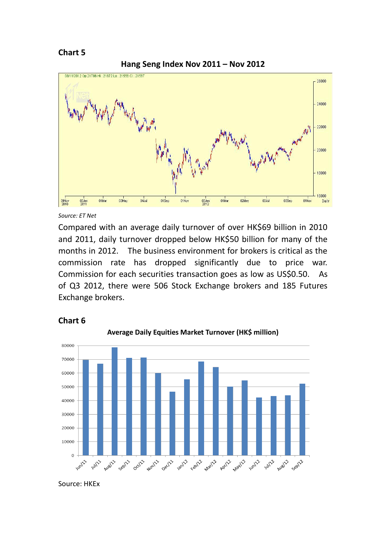**Chart 5**





#### *Source: ET Net*

Compared with an average daily turnover of over HK\$69 billion in 2010 and 2011, daily turnover dropped below HK\$50 billion for many of the months in 2012. The business environment for brokers is critical as the commission rate has dropped significantly due to price war. Commission for each securities transaction goes as low as US\$0.50. As of Q3 2012, there were 506 Stock Exchange brokers and 185 Futures Exchange brokers.



### **Chart 6**

Source: HKEx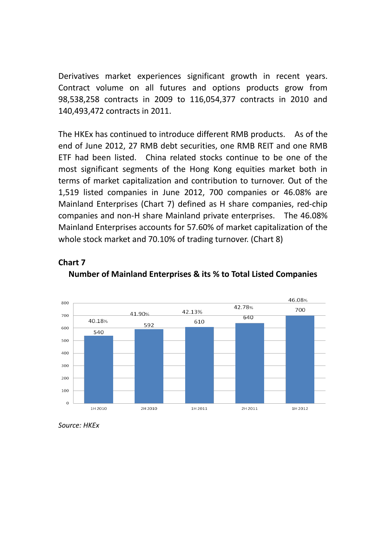Derivatives market experiences significant growth in recent years. Contract volume on all futures and options products grow from 98,538,258 contracts in 2009 to 116,054,377 contracts in 2010 and 140,493,472 contracts in 2011.

The HKEx has continued to introduce different RMB products. As of the end of June 2012, 27 RMB debt securities, one RMB REIT and one RMB ETF had been listed. China related stocks continue to be one of the most significant segments of the Hong Kong equities market both in terms of market capitalization and contribution to turnover. Out of the 1,519 listed companies in June 2012, 700 companies or 46.08% are Mainland Enterprises (Chart 7) defined as H share companies, red-chip companies and non-H share Mainland private enterprises. The 46.08% Mainland Enterprises accounts for 57.60% of market capitalization of the whole stock market and 70.10% of trading turnover. (Chart 8)

# **Chart 7 Number of Mainland Enterprises & its % to Total Listed Companies**



*Source: HKEx*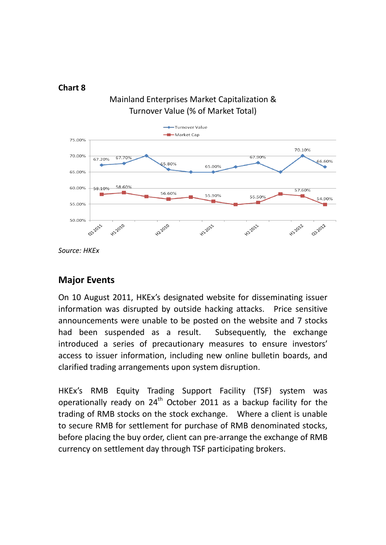

**Chart 8**

*Source: HKEx*

# **Major Events**

On 10 August 2011, HKEx's designated website for disseminating issuer information was disrupted by outside hacking attacks. Price sensitive announcements were unable to be posted on the website and 7 stocks had been suspended as a result. Subsequently, the exchange introduced a series of precautionary measures to ensure investors' access to issuer information, including new online bulletin boards, and clarified trading arrangements upon system disruption.

HKEx's RMB Equity Trading Support Facility (TSF) system was operationally ready on  $24<sup>th</sup>$  October 2011 as a backup facility for the trading of RMB stocks on the stock exchange. Where a client is unable to secure RMB for settlement for purchase of RMB denominated stocks, before placing the buy order, client can pre-arrange the exchange of RMB currency on settlement day through TSF participating brokers.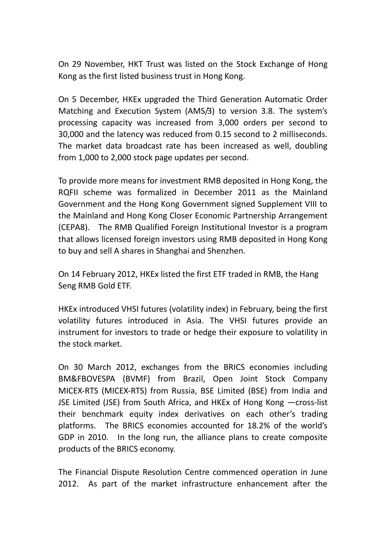On 29 November, HKT Trust was listed on the Stock Exchange of Hong Kong as the first listed business trust in Hong Kong.

On 5 December, HKEx upgraded the Third Generation Automatic Order Matching and Execution System (AMS/3) to version 3.8. The system's processing capacity was increased from 3,000 orders per second to 30,000 and the latency was reduced from 0.15 second to 2 milliseconds. The market data broadcast rate has been increased as well, doubling from 1,000 to 2,000 stock page updates per second.

To provide more means for investment RMB deposited in Hong Kong, the RQFII scheme was formalized in December 2011 as the Mainland Government and the Hong Kong Government signed Supplement VIII to the Mainland and Hong Kong Closer Economic Partnership Arrangement (CEPA8). The RMB Qualified Foreign Institutional Investor is a program that allows licensed foreign investors using RMB deposited in Hong Kong to buy and sell A shares in Shanghai and Shenzhen.

On 14 February 2012, HKEx listed the first ETF traded in RMB, the Hang Seng RMB Gold ETF.

HKEx introduced VHSI futures (volatility index) in February, being the first volatility futures introduced in Asia. The VHSI futures provide an instrument for investors to trade or hedge their exposure to volatility in the stock market.

On 30 March 2012, exchanges from the BRICS economies including BM&FBOVESPA (BVMF) from Brazil, Open Joint Stock Company MICEX-RTS (MICEX-RTS) from Russia, BSE Limited (BSE) from India and JSE Limited (JSE) from South Africa, and HKEx of Hong Kong —cross-list their benchmark equity index derivatives on each other's trading platforms. The BRICS economies accounted for 18.2% of the world's GDP in 2010. In the long run, the alliance plans to create composite products of the BRICS economy.

The Financial Dispute Resolution Centre commenced operation in June 2012. As part of the market infrastructure enhancement after the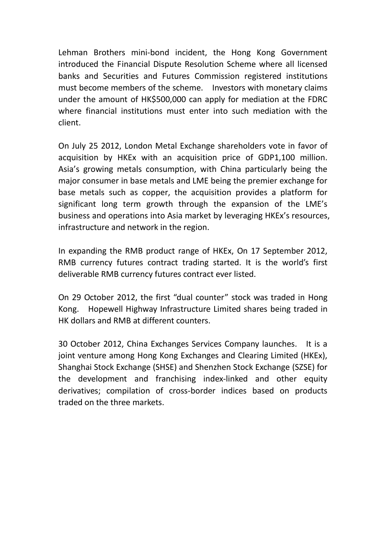Lehman Brothers mini-bond incident, the Hong Kong Government introduced the Financial Dispute Resolution Scheme where all licensed banks and Securities and Futures Commission registered institutions must become members of the scheme. Investors with monetary claims under the amount of HK\$500,000 can apply for mediation at the FDRC where financial institutions must enter into such mediation with the client.

On July 25 2012, London Metal Exchange shareholders vote in favor of acquisition by HKEx with an acquisition price of GDP1,100 million. Asia's growing metals consumption, with China particularly being the major consumer in base metals and LME being the premier exchange for base metals such as copper, the acquisition provides a platform for significant long term growth through the expansion of the LME's business and operations into Asia market by leveraging HKEx's resources, infrastructure and network in the region.

In expanding the RMB product range of HKEx, On 17 September 2012, RMB currency futures contract trading started. It is the world's first deliverable RMB currency futures contract ever listed.

On 29 October 2012, the first "dual counter" stock was traded in Hong Kong. Hopewell Highway Infrastructure Limited shares being traded in HK dollars and RMB at different counters.

30 October 2012, China Exchanges Services Company launches. It is a joint venture among Hong Kong Exchanges and Clearing Limited (HKEx), Shanghai Stock Exchange (SHSE) and Shenzhen Stock Exchange (SZSE) for the development and franchising index-linked and other equity derivatives; compilation of cross-border indices based on products traded on the three markets.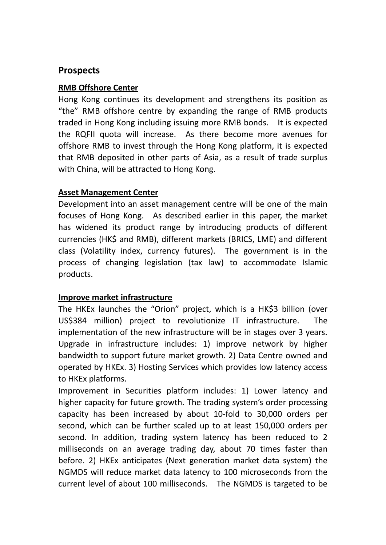# **Prospects**

## **RMB Offshore Center**

Hong Kong continues its development and strengthens its position as "the" RMB offshore centre by expanding the range of RMB products traded in Hong Kong including issuing more RMB bonds. It is expected the RQFII quota will increase. As there become more avenues for offshore RMB to invest through the Hong Kong platform, it is expected that RMB deposited in other parts of Asia, as a result of trade surplus with China, will be attracted to Hong Kong.

## **Asset Management Center**

Development into an asset management centre will be one of the main focuses of Hong Kong. As described earlier in this paper, the market has widened its product range by introducing products of different currencies (HK\$ and RMB), different markets (BRICS, LME) and different class (Volatility index, currency futures). The government is in the process of changing legislation (tax law) to accommodate Islamic products.

# **Improve market infrastructure**

The HKEx launches the "Orion" project, which is a HK\$3 billion (over US\$384 million) project to revolutionize IT infrastructure. The implementation of the new infrastructure will be in stages over 3 years. Upgrade in infrastructure includes: 1) improve network by higher bandwidth to support future market growth. 2) Data Centre owned and operated by HKEx. 3) Hosting Services which provides low latency access to HKEx platforms.

Improvement in Securities platform includes: 1) Lower latency and higher capacity for future growth. The trading system's order processing capacity has been increased by about 10-fold to 30,000 orders per second, which can be further scaled up to at least 150,000 orders per second. In addition, trading system latency has been reduced to 2 milliseconds on an average trading day, about 70 times faster than before. 2) HKEx anticipates (Next generation market data system) the NGMDS will reduce market data latency to 100 microseconds from the current level of about 100 milliseconds. The NGMDS is targeted to be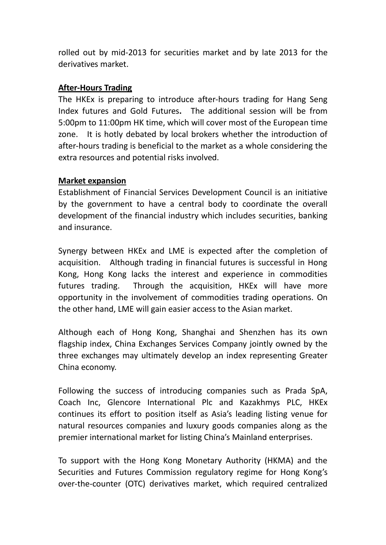rolled out by mid-2013 for securities market and by late 2013 for the derivatives market.

## **After-Hours Trading**

The HKEx is preparing to introduce after-hours trading for Hang Seng Index futures and Gold Futures**.** The additional session will be from 5:00pm to 11:00pm HK time, which will cover most of the European time zone. It is hotly debated by local brokers whether the introduction of after-hours trading is beneficial to the market as a whole considering the extra resources and potential risks involved.

## **Market expansion**

Establishment of Financial Services Development Council is an initiative by the government to have a central body to coordinate the overall development of the financial industry which includes securities, banking and insurance.

Synergy between HKEx and LME is expected after the completion of acquisition. Although trading in financial futures is successful in Hong Kong, Hong Kong lacks the interest and experience in commodities futures trading. Through the acquisition, HKEx will have more opportunity in the involvement of commodities trading operations. On the other hand, LME will gain easier access to the Asian market.

Although each of Hong Kong, Shanghai and Shenzhen has its own flagship index, China Exchanges Services Company jointly owned by the three exchanges may ultimately develop an index representing Greater China economy.

Following the success of introducing companies such as Prada SpA, Coach Inc, Glencore International Plc and Kazakhmys PLC, HKEx continues its effort to position itself as Asia's leading listing venue for natural resources companies and luxury goods companies along as the premier international market for listing China's Mainland enterprises.

To support with the Hong Kong Monetary Authority (HKMA) and the Securities and Futures Commission regulatory regime for Hong Kong's over-the-counter (OTC) derivatives market, which required centralized